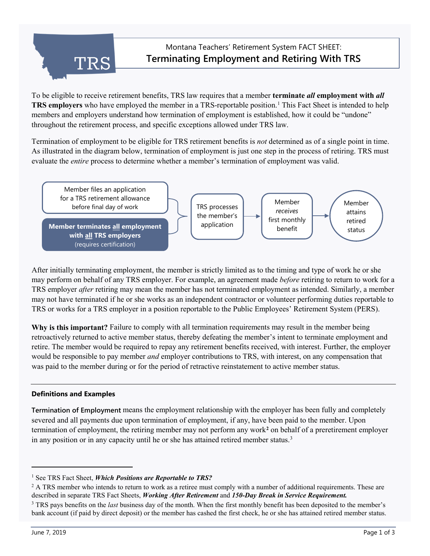

To be eligible to receive retirement benefits, TRS law requires that a member **terminate** *all* **employment with** *all* **TRS employers** who have employed the member in a TRS-reportable position.<sup>[1](#page-0-0)</sup> This Fact Sheet is intended to help members and employers understand how termination of employment is established, how it could be "undone" throughout the retirement process, and specific exceptions allowed under TRS law.

Termination of employment to be eligible for TRS retirement benefits is *not* determined as of a single point in time. As illustrated in the diagram below, termination of employment is just one step in the process of retiring. TRS must evaluate the *entire* process to determine whether a member's termination of employment was valid.



After initially terminating employment, the member is strictly limited as to the timing and type of work he or she may perform on behalf of any TRS employer. For example, an agreement made *before* retiring to return to work for a TRS employer *after* retiring may mean the member has not terminated employment as intended. Similarly, a member may not have terminated if he or she works as an independent contractor or volunteer performing duties reportable to TRS or works for a TRS employer in a position reportable to the Public Employees' Retirement System (PERS).

**Why is this important?** Failure to comply with all termination requirements may result in the member being retroactively returned to active member status, thereby defeating the member's intent to terminate employment and retire. The member would be required to repay any retirement benefits received, with interest. Further, the employer would be responsible to pay member *and* employer contributions to TRS, with interest, on any compensation that was paid to the member during or for the period of retractive reinstatement to active member status.

# **Definitions and Examples**

**Termination of Employment** means the employment relationship with the employer has been fully and completely severed and all payments due upon termination of employment, if any, have been paid to the member. Upon termination of employment, the retiring member may not perform any work**[2](#page-0-1)** on behalf of a preretirement employer in any position or in any capacity until he or she has attained retired member status.<sup>[3](#page-0-2)</sup>

j

<span id="page-0-0"></span><sup>&</sup>lt;sup>1</sup> See TRS Fact Sheet, *Which Positions are Reportable to TRS?* 

<span id="page-0-1"></span> $2$  A TRS member who intends to return to work as a retiree must comply with a number of additional requirements. These are described in separate TRS Fact Sheets, *Working After Retirement* and *150-Day Break in Service Requirement.*

<span id="page-0-2"></span><sup>3</sup> TRS pays benefits on the *last* business day of the month. When the first monthly benefit has been deposited to the member's bank account (if paid by direct deposit) or the member has cashed the first check, he or she has attained retired member status.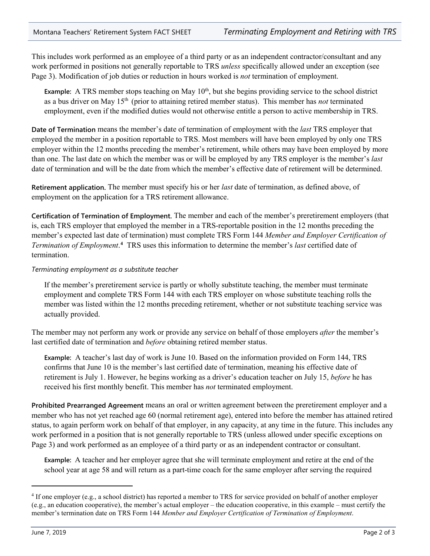This includes work performed as an employee of a third party or as an independent contractor/consultant and any work performed in positions not generally reportable to TRS *unless* specifically allowed under an exception (see Page 3). Modification of job duties or reduction in hours worked is *not* termination of employment.

**Example:** A TRS member stops teaching on May  $10<sup>th</sup>$ , but she begins providing service to the school district as a bus driver on May 15th (prior to attaining retired member status). This member has *not* terminated employment, even if the modified duties would not otherwise entitle a person to active membership in TRS.

**Date of Termination** means the member's date of termination of employment with the *last* TRS employer that employed the member in a position reportable to TRS. Most members will have been employed by only one TRS employer within the 12 months preceding the member's retirement, while others may have been employed by more than one. The last date on which the member was or will be employed by any TRS employer is the member's *last* date of termination and will be the date from which the member's effective date of retirement will be determined.

**Retirement application.** The member must specify his or her *last* date of termination, as defined above, of employment on the application for a TRS retirement allowance.

**Certification of Termination of Employment.** The member and each of the member's preretirement employers (that is, each TRS employer that employed the member in a TRS-reportable position in the 12 months preceding the member's expected last date of termination) must complete TRS Form 144 *Member and Employer Certification of Termination of Employment*. **[4](#page-1-0)** TRS uses this information to determine the member's *last* certified date of termination.

## *Terminating employment as a substitute teacher*

If the member's preretirement service is partly or wholly substitute teaching, the member must terminate employment and complete TRS Form 144 with each TRS employer on whose substitute teaching rolls the member was listed within the 12 months preceding retirement, whether or not substitute teaching service was actually provided.

The member may not perform any work or provide any service on behalf of those employers *after* the member's last certified date of termination and *before* obtaining retired member status.

**Example:** A teacher's last day of work is June 10. Based on the information provided on Form 144, TRS confirms that June 10 is the member's last certified date of termination, meaning his effective date of retirement is July 1. However, he begins working as a driver's education teacher on July 15, *before* he has received his first monthly benefit. This member has *not* terminated employment.

**Prohibited Prearranged Agreement** means an oral or written agreement between the preretirement employer and a member who has not yet reached age 60 (normal retirement age), entered into before the member has attained retired status, to again perform work on behalf of that employer, in any capacity, at any time in the future. This includes any work performed in a position that is not generally reportable to TRS (unless allowed under specific exceptions on Page 3) and work performed as an employee of a third party or as an independent contractor or consultant.

**Example:** A teacher and her employer agree that she will terminate employment and retire at the end of the school year at age 58 and will return as a part-time coach for the same employer after serving the required

j

<span id="page-1-0"></span><sup>&</sup>lt;sup>4</sup> If one employer (e.g., a school district) has reported a member to TRS for service provided on behalf of another employer (e.g., an education cooperative), the member's actual employer – the education cooperative, in this example – must certify the member's termination date on TRS Form 144 *Member and Employer Certification of Termination of Employment*.